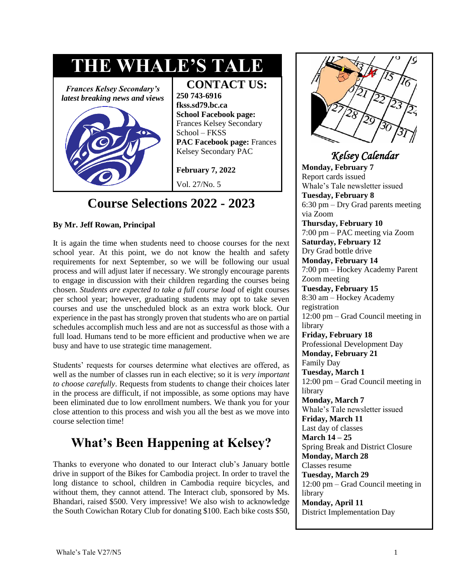

# **Course Selections 2022 - 2023**

#### **By Mr. Jeff Rowan, Principal**

It is again the time when students need to choose courses for the next school year. At this point, we do not know the health and safety requirements for next September, so we will be following our usual process and will adjust later if necessary. We strongly encourage parents to engage in discussion with their children regarding the courses being chosen. *Students are expected to take a full course load* of eight courses per school year; however, graduating students may opt to take seven courses and use the unscheduled block as an extra work block. Our experience in the past has strongly proven that students who are on partial schedules accomplish much less and are not as successful as those with a full load. Humans tend to be more efficient and productive when we are busy and have to use strategic time management.

Students' requests for courses determine what electives are offered, as well as the number of classes run in each elective; so it is *very important to choose carefully*. Requests from students to change their choices later in the process are difficult, if not impossible, as some options may have been eliminated due to low enrollment numbers. We thank you for your close attention to this process and wish you all the best as we move into course selection time!

# **What's Been Happening at Kelsey?**

Thanks to everyone who donated to our Interact club's January bottle drive in support of the Bikes for Cambodia project. In order to travel the long distance to school, children in Cambodia require bicycles, and without them, they cannot attend. The Interact club, sponsored by Ms. Bhandari, raised \$500. Very impressive! We also wish to acknowledge the South Cowichan Rotary Club for donating \$100. Each bike costs \$50,



### *Kelsey Calendar*

**Monday, February 7**  Report cards issued Whale's Tale newsletter issued

**Tuesday, February 8**  6:30 pm – Dry Grad parents meeting via Zoom

**Thursday, February 10**  7:00 pm – PAC meeting via Zoom **Saturday, February 12**  Dry Grad bottle drive **Monday, February 14** 

7:00 pm – Hockey Academy Parent Zoom meeting

**Tuesday, February 15**  8:30 am – Hockey Academy registration 12:00 pm – Grad Council meeting in library

**Friday, February 18**  Professional Development Day **Monday, February 21**  Family Day

**Tuesday, March 1**  12:00 pm – Grad Council meeting in library **Monday, March 7** 

Whale's Tale newsletter issued

**Friday, March 11**  Last day of classes **March 14 – 25** 

Spring Break and District Closure **Monday, March 28** 

Classes resume **Tuesday, March 29** 12:00 pm – Grad Council meeting in library **Monday, April 11** 

District Implementation Day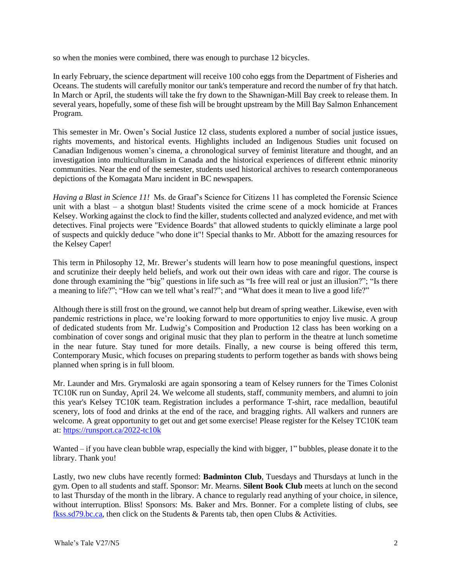so when the monies were combined, there was enough to purchase 12 bicycles.

In early February, the science department will receive 100 coho eggs from the Department of Fisheries and Oceans. The students will carefully monitor our tank's temperature and record the number of fry that hatch. In March or April, the students will take the fry down to the Shawnigan-Mill Bay creek to release them. In several years, hopefully, some of these fish will be brought upstream by the Mill Bay Salmon Enhancement Program.

This semester in Mr. Owen's Social Justice 12 class, students explored a number of social justice issues, rights movements, and historical events. Highlights included an Indigenous Studies unit focused on Canadian Indigenous women's cinema, a chronological survey of feminist literature and thought, and an investigation into multiculturalism in Canada and the historical experiences of different ethnic minority communities. Near the end of the semester, students used historical archives to research contemporaneous depictions of the Komagata Maru incident in BC newspapers.

*Having a Blast in Science 11!* Ms. de Graaf's Science for Citizens 11 has completed the Forensic Science unit with a blast – a shotgun blast! Students visited the crime scene of a mock homicide at Frances Kelsey. Working against the clock to find the killer, students collected and analyzed evidence, and met with detectives. Final projects were "Evidence Boards" that allowed students to quickly eliminate a large pool of suspects and quickly deduce "who done it"! Special thanks to Mr. Abbott for the amazing resources for the Kelsey Caper!

This term in Philosophy 12, Mr. Brewer's students will learn how to pose meaningful questions, inspect and scrutinize their deeply held beliefs, and work out their own ideas with care and rigor. The course is done through examining the "big" questions in life such as "Is free will real or just an illusion?"; "Is there a meaning to life?"; "How can we tell what's real?"; and "What does it mean to live a good life?"

Although there is still frost on the ground, we cannot help but dream of spring weather. Likewise, even with pandemic restrictions in place, we're looking forward to more opportunities to enjoy live music. A group of dedicated students from Mr. Ludwig's Composition and Production 12 class has been working on a combination of cover songs and original music that they plan to perform in the theatre at lunch sometime in the near future. Stay tuned for more details. Finally, a new course is being offered this term, Contemporary Music, which focuses on preparing students to perform together as bands with shows being planned when spring is in full bloom.

Mr. Launder and Mrs. Grymaloski are again sponsoring a team of Kelsey runners for the Times Colonist TC10K run on Sunday, April 24. We welcome all students, staff, community members, and alumni to join this year's Kelsey TC10K team. Registration includes a performance T-shirt, race medallion, beautiful scenery, lots of food and drinks at the end of the race, and bragging rights. All walkers and runners are welcome. A great opportunity to get out and get some exercise! Please register for the Kelsey TC10K team at: <https://runsport.ca/2022-tc10k>

Wanted – if you have clean bubble wrap, especially the kind with bigger, 1" bubbles, please donate it to the library. Thank you!

Lastly, two new clubs have recently formed: **Badminton Club**, Tuesdays and Thursdays at lunch in the gym. Open to all students and staff. Sponsor: Mr. Mearns. **Silent Book Club** meets at lunch on the second to last Thursday of the month in the library. A chance to regularly read anything of your choice, in silence, without interruption. Bliss! Sponsors: Ms. Baker and Mrs. Bonner. For a complete listing of clubs, see [fkss.sd79.bc.ca,](file:///C:/Users/Nancy%20Bonner/Documents/WTale/fkss.sd79.bc.ca) then click on the Students & Parents tab, then open Clubs & Activities.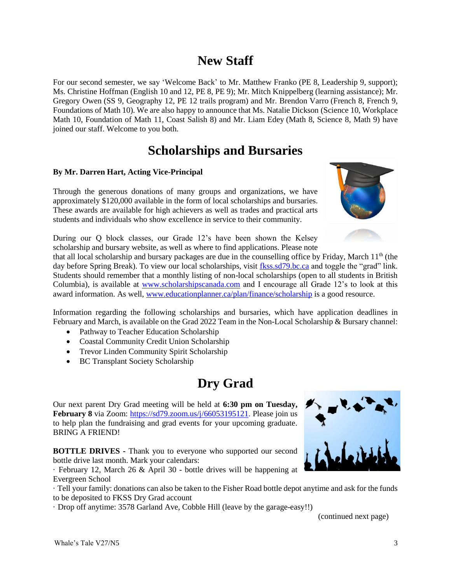## **New Staff**

For our second semester, we say 'Welcome Back' to Mr. Matthew Franko (PE 8, Leadership 9, support); Ms. Christine Hoffman (English 10 and 12, PE 8, PE 9); Mr. Mitch Knippelberg (learning assistance); Mr. Gregory Owen (SS 9, Geography 12, PE 12 trails program) and Mr. Brendon Varro (French 8, French 9, Foundations of Math 10). We are also happy to announce that Ms. Natalie Dickson (Science 10, Workplace Math 10, Foundation of Math 11, Coast Salish 8) and Mr. Liam Edey (Math 8, Science 8, Math 9) have joined our staff. Welcome to you both.

## **Scholarships and Bursaries**

#### **By Mr. Darren Hart, Acting Vice-Principal**

Through the generous donations of many groups and organizations, we have approximately \$120,000 available in the form of local scholarships and bursaries. These awards are available for high achievers as well as trades and practical arts students and individuals who show excellence in service to their community.



During our Q block classes, our Grade 12's have been shown the Kelsey scholarship and bursary website, as well as where to find applications. Please note

that all local scholarship and bursary packages are due in the counselling office by Friday, March  $11<sup>th</sup>$  (the day before Spring Break). To view our local scholarships, visit [fkss.sd79.bc.ca](file:///C:/Users/Nancy%20Bonner/Documents/WTale/fkss.sd79.bc.ca) and toggle the "grad" link. Students should remember that a monthly listing of non-local scholarships (open to all students in British Columbia), is available at [www.scholarshipscanada.com](http://www.scholarshipscanada.com/) and I encourage all Grade 12's to look at this award information. As well, [www.educationplanner.ca/plan/finance/scholarship](http://www.educationplanner.ca/plan/finance/scholarship) is a good resource.

Information regarding the following scholarships and bursaries, which have application deadlines in February and March, is available on the Grad 2022 Team in the Non-Local Scholarship & Bursary channel:

- Pathway to Teacher Education Scholarship
- Coastal Community Credit Union Scholarship
- Trevor Linden Community Spirit Scholarship
- BC Transplant Society Scholarship

## **Dry Grad**

Our next parent Dry Grad meeting will be held at **6:30 pm on Tuesday, February 8** via Zoom: [https://sd79.zoom.us/j/66053195121.](https://sd79.zoom.us/j/66053195121) Please join us to help plan the fundraising and grad events for your upcoming graduate. BRING A FRIEND!

**BOTTLE DRIVES -** Thank you to everyone who supported our second bottle drive last month. Mark your calendars:

· February 12, March 26 & April 30 - bottle drives will be happening at Evergreen School

· Tell your family: donations can also be taken to the Fisher Road bottle depot anytime and ask for the funds to be deposited to FKSS Dry Grad account

· Drop off anytime: 3578 Garland Ave, Cobble Hill (leave by the garage-easy!!)

(continued next page)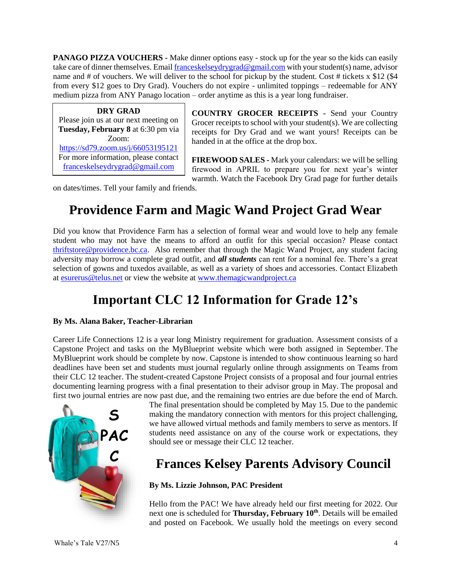**PANAGO PIZZA VOUCHERS -** Make dinner options easy - stock up for the year so the kids can easily take care of dinner themselves. Emai[l franceskelseydrygrad@gmail.com](file:///C:/Users/Nancy%20Bonner/Documents/WTale/franceskelseydrygrad@gmail.com) with your student(s) name, advisor name and  $\#$  of vouchers. We will deliver to the school for pickup by the student. Cost  $\#$  tickets x \$12 (\$4 from every \$12 goes to Dry Grad). Vouchers do not expire - unlimited toppings – redeemable for ANY medium pizza from ANY Panago location – order anytime as this is a year long fundraiser.

**DRY GRAD** Please join us at our next meeting on **Tuesday, February 8** at 6:30 pm via Zoom: <https://sd79.zoom.us/j/66053195121> For more information, please contact [franceskelseydrygrad@gmail.com](mailto:franceskelseydrygrad@gmail.com)

**COUNTRY GROCER RECEIPTS -** Send your Country Grocer receipts to school with your student(s). We are collecting receipts for Dry Grad and we want yours! Receipts can be handed in at the office at the drop box.

**FIREWOOD SALES -** Mark your calendars: we will be selling firewood in APRIL to prepare you for next year's winter warmth. Watch the Facebook Dry Grad page for further details

on dates/times. Tell your family and friends.

# **Providence Farm and Magic Wand Project Grad Wear**

Did you know that Providence Farm has a selection of formal wear and would love to help any female student who may not have the means to afford an outfit for this special occasion? Please contact [thriftstore@providence.bc.ca.](mailto:thriftstore@providence.bc.ca) Also remember that through the Magic Wand Project, any student facing adversity may borrow a complete grad outfit, and *all students* can rent for a nominal fee. There's a great selection of gowns and tuxedos available, as well as a variety of shoes and accessories. Contact Elizabeth at [esurerus@telus.net](mailto:esurerus@telus.net) or view the website at [www.themagicwandproject.ca](http://www.themagicwandproject.ca/)

# **Important CLC 12 Information for Grade 12's**

#### **By Ms. Alana Baker, Teacher-Librarian**

Career Life Connections 12 is a year long Ministry requirement for graduation. Assessment consists of a Capstone Project and tasks on the MyBlueprint website which were both assigned in September. The MyBlueprint work should be complete by now. Capstone is intended to show continuous learning so hard deadlines have been set and students must journal regularly online through assignments on Teams from their CLC 12 teacher. The student-created Capstone Project consists of a proposal and four journal entries documenting learning progress with a final presentation to their advisor group in May. The proposal and first two journal entries are now past due, and the remaining two entries are due before the end of March.



The final presentation should be completed by May 15. Due to the pandemic making the mandatory connection with mentors for this project challenging, we have allowed virtual methods and family members to serve as mentors. If students need assistance on any of the course work or expectations, they should see or message their CLC 12 teacher.

## **Frances Kelsey Parents Advisory Council**

#### **By Ms. Lizzie Johnson, PAC President**

Hello from the PAC! We have already held our first meeting for 2022. Our next one is scheduled for **Thursday, February 10th** . Details will be emailed and posted on Facebook. We usually hold the meetings on every second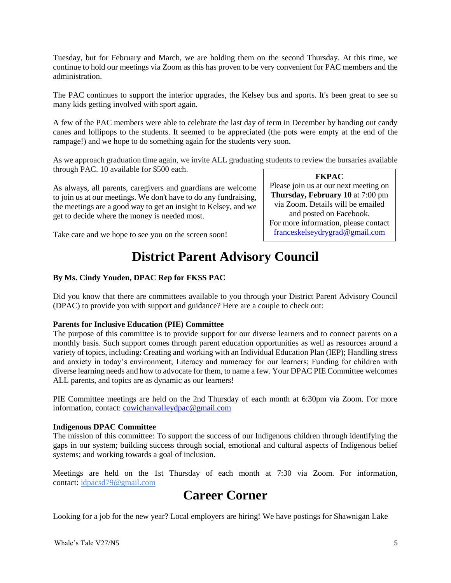Tuesday, but for February and March, we are holding them on the second Thursday. At this time, we continue to hold our meetings via Zoom as this has proven to be very convenient for PAC members and the administration.

The PAC continues to support the interior upgrades, the Kelsey bus and sports. It's been great to see so many kids getting involved with sport again.

A few of the PAC members were able to celebrate the last day of term in December by handing out candy canes and lollipops to the students. It seemed to be appreciated (the pots were empty at the end of the rampage!) and we hope to do something again for the students very soon.

As we approach graduation time again, we invite ALL graduating students to review the bursaries available through PAC. 10 available for \$500 each.

As always, all parents, caregivers and guardians are welcome to join us at our meetings. We don't have to do any fundraising, the meetings are a good way to get an insight to Kelsey, and we get to decide where the money is needed most.

**FKPAC**

Please join us at our next meeting on **Thursday, February 10** at 7:00 pm via Zoom. Details will be emailed and posted on Facebook. For more information, please contact [franceskelseydrygrad@gmail.com](mailto:franceskelseydrygrad@gmail.com)

Take care and we hope to see you on the screen soon!

### **District Parent Advisory Council**

#### **By Ms. Cindy Youden, DPAC Rep for FKSS PAC**

Did you know that there are committees available to you through your District Parent Advisory Council (DPAC) to provide you with support and guidance? Here are a couple to check out:

#### **Parents for Inclusive Education (PIE) Committee**

The purpose of this committee is to provide support for our diverse learners and to connect parents on a monthly basis. Such support comes through parent education opportunities as well as resources around a variety of topics, including: Creating and working with an Individual Education Plan (IEP); Handling stress and anxiety in today's environment; Literacy and numeracy for our learners; Funding for children with diverse learning needs and how to advocate for them, to name a few. Your DPAC PIE Committee welcomes ALL parents, and topics are as dynamic as our learners!

PIE Committee meetings are held on the 2nd Thursday of each month at 6:30pm via Zoom. For more information, contact: [cowichanvalleydpac@gmail.com](mailto:cowichanvalleydpac@gmail.com)

#### **Indigenous DPAC Committee**

The mission of this committee: To support the success of our Indigenous children through identifying the gaps in our system; building success through social, emotional and cultural aspects of Indigenous belief systems; and working towards a goal of inclusion.

Meetings are held on the 1st Thursday of each month at 7:30 via Zoom. For information, contact: [idpacsd79@gmail.com](mailto:idpacsd79@gmail.com)

### **Career Corner**

Looking for a job for the new year? Local employers are hiring! We have postings for Shawnigan Lake